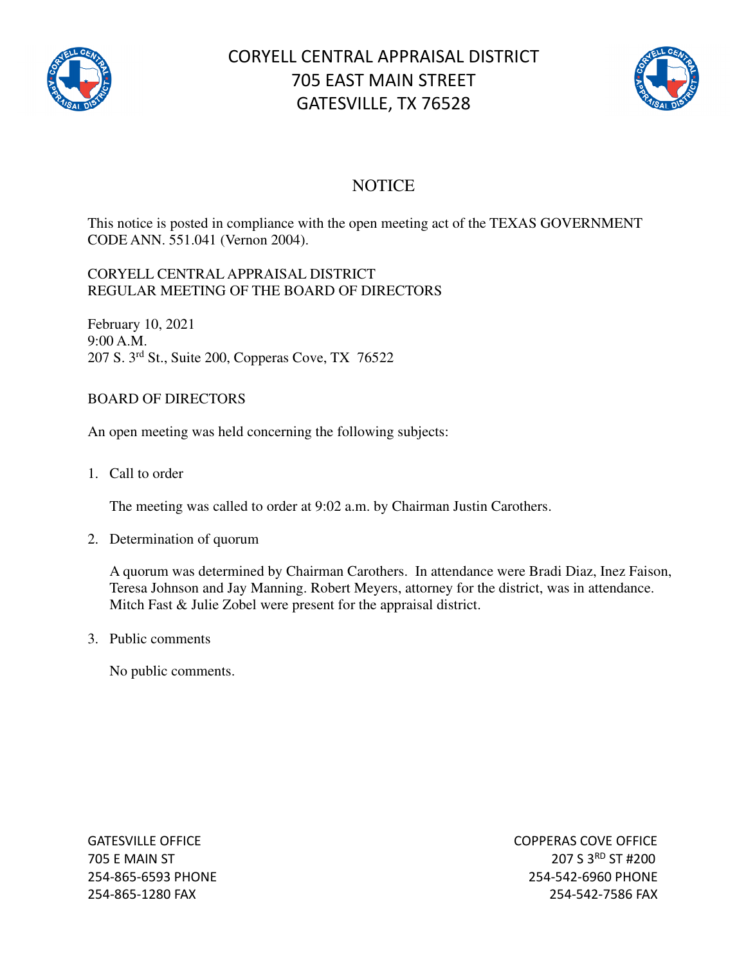

# CORYELL CENTRAL APPRAISAL DISTRICT 705 EAST MAIN STREET GATESVILLE, TX 76528



### **NOTICE**

This notice is posted in compliance with the open meeting act of the TEXAS GOVERNMENT CODE ANN. 551.041 (Vernon 2004).

#### CORYELL CENTRAL APPRAISAL DISTRICT REGULAR MEETING OF THE BOARD OF DIRECTORS

February 10, 2021 9:00 A.M. 207 S. 3rd St., Suite 200, Copperas Cove, TX 76522

### BOARD OF DIRECTORS

An open meeting was held concerning the following subjects:

1. Call to order

The meeting was called to order at 9:02 a.m. by Chairman Justin Carothers.

2. Determination of quorum

A quorum was determined by Chairman Carothers. In attendance were Bradi Diaz, Inez Faison, Teresa Johnson and Jay Manning. Robert Meyers, attorney for the district, was in attendance. Mitch Fast & Julie Zobel were present for the appraisal district.

3. Public comments

No public comments.

GATESVILLE OFFICE **COPPERAS COVE OF EXAMPLE 2** 705 E MAIN ST 207 S 3<sup>RD</sup> ST #200 254-865-6593 PHONE 254-542-6960 PHONE 254-865-1280 FAX 254-542-7586 FAX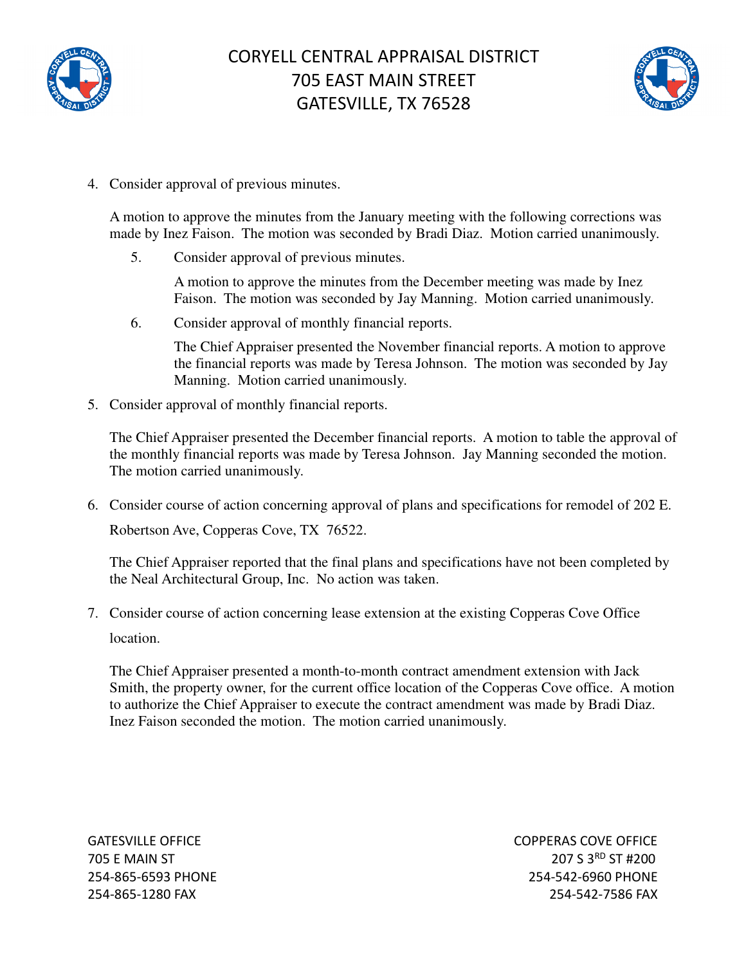



4. Consider approval of previous minutes.

A motion to approve the minutes from the January meeting with the following corrections was made by Inez Faison. The motion was seconded by Bradi Diaz. Motion carried unanimously.

5. Consider approval of previous minutes.

A motion to approve the minutes from the December meeting was made by Inez Faison. The motion was seconded by Jay Manning. Motion carried unanimously.

6. Consider approval of monthly financial reports.

The Chief Appraiser presented the November financial reports. A motion to approve the financial reports was made by Teresa Johnson. The motion was seconded by Jay Manning. Motion carried unanimously.

5. Consider approval of monthly financial reports.

The Chief Appraiser presented the December financial reports. A motion to table the approval of the monthly financial reports was made by Teresa Johnson. Jay Manning seconded the motion. The motion carried unanimously.

6. Consider course of action concerning approval of plans and specifications for remodel of 202 E. Robertson Ave, Copperas Cove, TX 76522.

The Chief Appraiser reported that the final plans and specifications have not been completed by the Neal Architectural Group, Inc. No action was taken.

7. Consider course of action concerning lease extension at the existing Copperas Cove Office location.

The Chief Appraiser presented a month-to-month contract amendment extension with Jack Smith, the property owner, for the current office location of the Copperas Cove office. A motion to authorize the Chief Appraiser to execute the contract amendment was made by Bradi Diaz. Inez Faison seconded the motion. The motion carried unanimously.

GATESVILLE OFFICE **COPPERAS COVE OF EXAMPLE 2** 705 E MAIN ST 207 S 3RD ST #200 254-865-6593 PHONE 254-542-6960 PHONE 254-865-1280 FAX 254-542-7586 FAX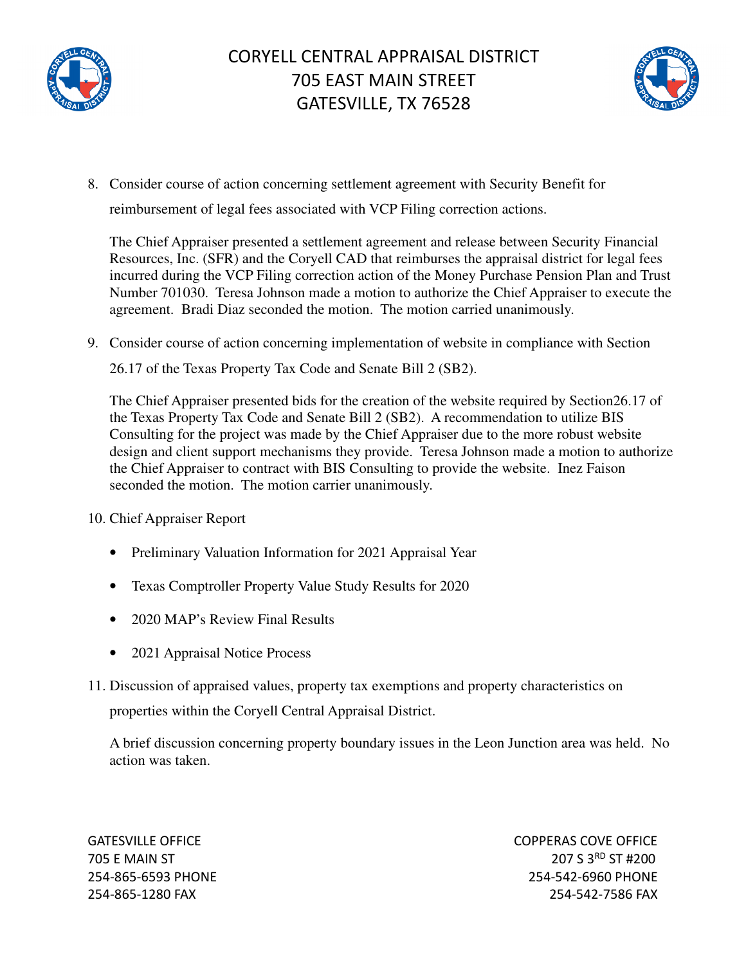



8. Consider course of action concerning settlement agreement with Security Benefit for reimbursement of legal fees associated with VCP Filing correction actions.

The Chief Appraiser presented a settlement agreement and release between Security Financial Resources, Inc. (SFR) and the Coryell CAD that reimburses the appraisal district for legal fees incurred during the VCP Filing correction action of the Money Purchase Pension Plan and Trust Number 701030. Teresa Johnson made a motion to authorize the Chief Appraiser to execute the agreement. Bradi Diaz seconded the motion. The motion carried unanimously.

9. Consider course of action concerning implementation of website in compliance with Section 26.17 of the Texas Property Tax Code and Senate Bill 2 (SB2).

The Chief Appraiser presented bids for the creation of the website required by Section26.17 of the Texas Property Tax Code and Senate Bill 2 (SB2). A recommendation to utilize BIS Consulting for the project was made by the Chief Appraiser due to the more robust website design and client support mechanisms they provide. Teresa Johnson made a motion to authorize the Chief Appraiser to contract with BIS Consulting to provide the website. Inez Faison seconded the motion. The motion carrier unanimously.

10. Chief Appraiser Report

- Preliminary Valuation Information for 2021 Appraisal Year
- Texas Comptroller Property Value Study Results for 2020
- 2020 MAP's Review Final Results
- 2021 Appraisal Notice Process
- 11. Discussion of appraised values, property tax exemptions and property characteristics on properties within the Coryell Central Appraisal District.

A brief discussion concerning property boundary issues in the Leon Junction area was held. No action was taken.

GATESVILLE OFFICE **COPPERAS COVE OF EXAMPLE 2** 705 E MAIN ST 207 S 3RD ST #200 254-865-6593 PHONE 254-542-6960 PHONE 254-865-1280 FAX 254-542-7586 FAX